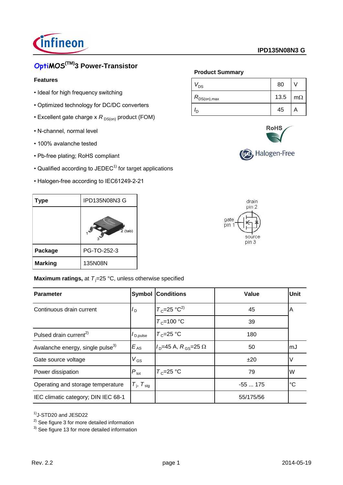

# **OptiMOS(TM)3 Power-Transistor**

### **Features**

- Ideal for high frequency switching
- Optimized technology for DC/DC converters
- Excellent gate charge x  $R_{DS(on)}$  product (FOM)
- N-channel, normal level
- 100% avalanche tested
- Pb-free plating; RoHS compliant
- $\cdot$  Qualified according to JEDEC<sup>1)</sup> for target applications
- Halogen-free according to IEC61249-2-21

| Type           | <b>IPD135N08N3 G</b> |
|----------------|----------------------|
|                | $2$ (tab)            |
| Package        | PG-TO-252-3          |
| <b>Marking</b> | 135N08N              |

## **Maximum ratings, at**  $T_i = 25 \text{ °C}$ **, unless otherwise specified**

| <b>Parameter</b>                             | <b>Symbol</b>               | <b>Conditions</b>            | Value     | <b>Unit</b> |
|----------------------------------------------|-----------------------------|------------------------------|-----------|-------------|
| Continuous drain current                     | $I_D$                       | $T_c=25 \text{ °C}^2$        | 45        | Α           |
|                                              |                             | $T_c = 100 °C$               | 39        |             |
| Pulsed drain current <sup>2)</sup>           | $I_{\text{D,pulse}}$        | $T_c = 25$ °C                | 180       |             |
| Avalanche energy, single pulse <sup>3)</sup> | $E_{AS}$                    | $ID=45$ A, $RGS=25$ $\Omega$ | 50        | mJ          |
| Gate source voltage                          | $V_{GS}$                    |                              | ±20       |             |
| Power dissipation                            | $P_{\text{tot}}$            | $T_c = 25$ °C                | 79        | W           |
| Operating and storage temperature            | $T_{\rm j}$ , $T_{\rm stg}$ |                              | $-55175$  | ı°С         |
| IEC climatic category; DIN IEC 68-1          |                             |                              | 55/175/56 |             |

1)J-STD20 and JESD22

<sup>3)</sup> See figure 13 for more detailed information

## **Product Summary**

| v <sub>DS</sub>      | 80   |           |
|----------------------|------|-----------|
| $R_{\rm DS(on),max}$ | 13.5 | $m\Omega$ |
| חי                   | 45   | m         |



(F4), Halogen-Free



 $2)$  See figure 3 for more detailed information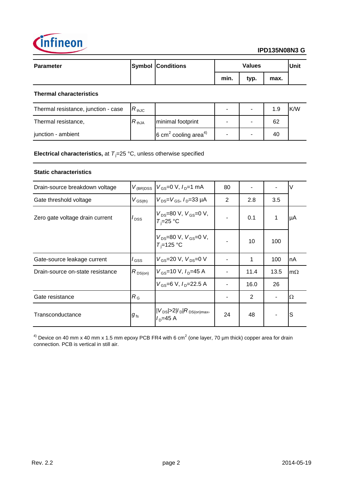

| Parameter | <b>Symbol Conditions</b> | <b>Values</b> |      | <b>Unit</b> |  |
|-----------|--------------------------|---------------|------|-------------|--|
|           |                          | min.          | typ. | max.        |  |

## **Thermal characteristics**

| Thermal resistance, junction - case | $R_{thJC}$ |                                             | ۰ | 1.9 | K/W |
|-------------------------------------|------------|---------------------------------------------|---|-----|-----|
| Thermal resistance,                 | $R_{thJA}$ | minimal footprint                           |   | 62  |     |
| junction - ambient                  |            | $6 \text{ cm}^2$ cooling area <sup>4)</sup> | ۰ | 40  |     |

**Electrical characteristics,** at  $T_i = 25 \text{ °C}$ , unless otherwise specified

### **Static characteristics**

| Drain-source breakdown voltage   |                                    | $V_{GS}$ =0 V, $I_{D}$ =1 mA                     | 80 |      |      |           |
|----------------------------------|------------------------------------|--------------------------------------------------|----|------|------|-----------|
|                                  | $V_{(BR)DSS}$                      |                                                  |    |      |      |           |
| Gate threshold voltage           | $V_{\text{GS(th)}}$                | $V_{DS} = V_{GS}$ , $I_{D} = 33 \mu A$           | 2  | 2.8  | 3.5  |           |
| Zero gate voltage drain current  | $I_{\text{DSS}}$                   | $V_{DS}$ =80 V, $V_{GS}$ =0 V,<br>$T_i = 25$ °C  |    | 0.1  | 1    | μA        |
|                                  |                                    | $V_{DS}$ =80 V, $V_{GS}$ =0 V,<br>$T_i = 125$ °C |    | 10   | 100  |           |
| Gate-source leakage current      | $I_{\mathsf{GSS}}$                 | $V_{GS}$ =20 V, $V_{DS}$ =0 V                    |    | 1    | 100  | nA        |
| Drain-source on-state resistance | $R_{DS(on)}$                       | $V_{GS}$ =10 V, $I_{D}$ =45 A                    |    | 11.4 | 13.5 | $m\Omega$ |
|                                  |                                    | $V_{GS}$ =6 V, $I_{D}$ =22.5 A                   |    | 16.0 | 26   |           |
| Gate resistance                  | $R_{\rm G}$                        |                                                  |    | 2    |      | Ω         |
| Transconductance                 | $g_{\scriptscriptstyle \text{fs}}$ | $ V_{DS}  > 2 I_D R_{DS(on)max}$<br>$ID=45 A$    | 24 | 48   |      | S         |

<sup>4)</sup> Device on 40 mm x 40 mm x 1.5 mm epoxy PCB FR4 with 6 cm<sup>2</sup> (one layer, 70 µm thick) copper area for drain connection. PCB is vertical in still air.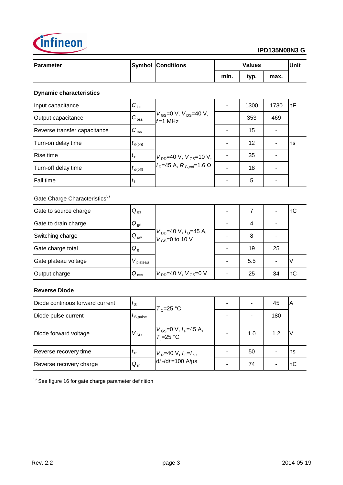

| <b>Parameter</b> | <b>Symbol Conditions</b> | <b>Values</b> |      | Unit |  |
|------------------|--------------------------|---------------|------|------|--|
|                  |                          | min.          | typ. | max. |  |
|                  |                          |               |      |      |  |

### **Dynamic characteristics**

| Input capacitance            | $C_{\text{iss}}$    |                                                        | 1300 | 1730 | <b>I</b> pF |
|------------------------------|---------------------|--------------------------------------------------------|------|------|-------------|
| Output capacitance           | $C_{\rm oss}$       | $V_{GS}$ =0 V, $V_{DS}$ =40 V,<br>$f=1$ MHz            | 353  | 469  |             |
| Reverse transfer capacitance | $C_{\text{rss}}$    |                                                        | 15   |      |             |
| Turn-on delay time           | $t_{\text{d}(on)}$  |                                                        | 12   |      | Ins         |
| Rise time                    | $t_{\rm r}$         | $V_{DD}$ =40 V, $V_{GS}$ =10 V,                        | 35   |      |             |
| Turn-off delay time          | $t_{d(\text{off})}$ | $I_{\text{D}}$ =45 A, $R_{\text{G,ext}}$ =1.6 $\Omega$ | 18   |      |             |
| Fall time                    | $I_{\rm f}$         |                                                        | 5    |      |             |

# Gate Charge Characteristics<sup>5)</sup>

| Gate to source charge | $Q_{gs}$             |                                                     | - |     |    | пC  |
|-----------------------|----------------------|-----------------------------------------------------|---|-----|----|-----|
| Gate to drain charge  | $Q_{gd}$             |                                                     |   | 4   |    |     |
| Switching charge      | $Q_{sw}$             | $V_{DD}$ =40 V, $I_D$ =45 A,<br>$V_{GS}$ =0 to 10 V |   | 8   |    |     |
| Gate charge total     | Q <sub>g</sub>       |                                                     |   | 19  | 25 |     |
| Gate plateau voltage  | $V_{\text{plateau}}$ |                                                     |   | 5.5 |    |     |
| Output charge         | $Q_{\text{oss}}$     | $V_{DD}$ =40 V, $V_{GS}$ =0 V                       |   | 25  | 34 | 'nС |

### **Reverse Diode**

| Diode continous forward current | $I_{\rm S}$          | $T_c = 25$ °C                                                 |                          | 45  | ΙA  |
|---------------------------------|----------------------|---------------------------------------------------------------|--------------------------|-----|-----|
| Diode pulse current             | I <sub>S,pulse</sub> |                                                               | $\overline{\phantom{0}}$ | 180 |     |
| Diode forward voltage           | $V_{SD}$             | $V_{GS}$ =0 V, I <sub>F</sub> =45 A,<br>T <sub>i</sub> =25 °C | 1.0                      | 1.2 | IV  |
| Reverse recovery time           | $t_{\rm rr}$         | $V_R$ =40 V, $I_F$ = $I_S$ ,                                  | 50                       |     | Ins |
| Reverse recovery charge         | $Q_{rr}$             | $di_F/dt = 100$ A/µs                                          | 74                       |     | nC  |

<sup>5)</sup> See figure 16 for gate charge parameter definition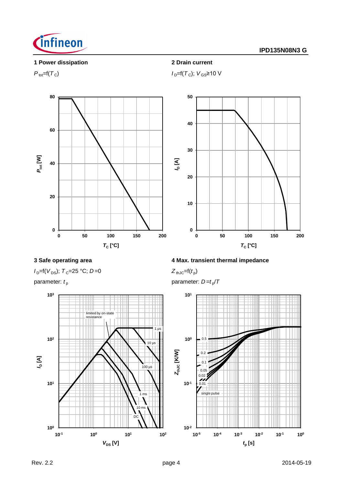

### **1 Power dissipation 2 Drain current**



 $P_{\text{tot}} = f(T_C)$  *I*<sub>D</sub>=f(*T<sub>C</sub>*); *V*<sub>GS</sub>≥10 V



 $I_D=$ f( $V_{DS}$ );  $T_C=$ 25 °C; *D*=0



### **3 Safe operating area 4 Max. transient thermal impedance**

 $Z_{th\text{JC}} = f(t_p)$ 

parameter:  $t_{\rm p}$  **parameter:** *D=t<sub>p</sub>*/*T* 

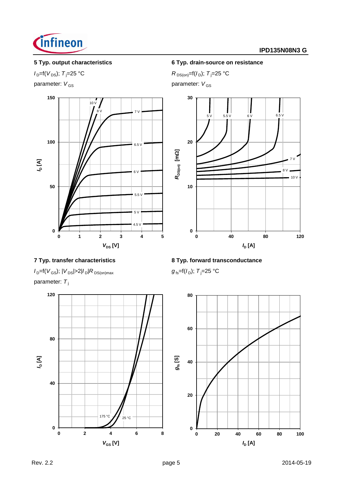

parameter:  $V_{GS}$  parameter:  $V_{GS}$ 



### **5 Typ. output characteristics 6 Typ. drain-source on resistance**

 $I_{D} = f(V_{DS})$ ; *T*<sub>j</sub>=25 °C *R* DS(on)=f(*I*<sub>D</sub>); *T*<sub>j</sub>=25 °C



 $I_{D}$ =f(*V*<sub>GS</sub>); |*V*<sub>DS</sub>|>2|*I*<sub>D</sub>|*R*<sub>DS(on)max *g*<sub>fs</sub>=f(*I*<sub>D</sub>); *T*<sub>j</sub>=25 °C</sub> parameter: T<sub>j</sub>



# **7 Typ. transfer characteristics 8 Typ. forward transconductance**

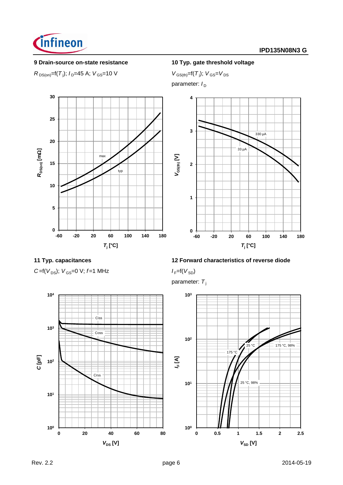

### **9 Drain-source on-state resistance 10 Typ. gate threshold voltage**

 $R_{DS(on)} = f(T_j); I_D = 45 \text{ A}; V_{GS} = 10 \text{ V}$  *V*  $_{GS(th)} = f(T_j)$ 

 $V_{GS(th)} = f(T_i); V_{GS} = V_{DS}$ parameter:  $I_D$ 





 $C = f(V_{DS})$ ;  $V_{GS} = 0$  V;  $f = 1$  MHz  $I_F = f(V_{SD})$ 

## **11 Typ. capacitances 12 Forward characteristics of reverse diode**

parameter: T<sub>i</sub>



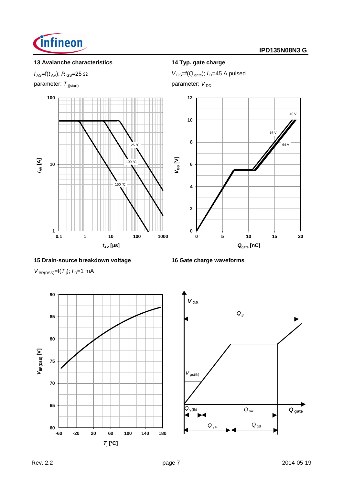

## **13 Avalanche characteristics 14 Typ. gate charge**

parameter:  $T_{j(\text{start})}$  parameter:  $V_{DD}$ 



### **15 Drain-source breakdown voltage 16 Gate charge waveforms**

 $V_{BR(DSS)} = f(T_j); I_D = 1$  mA





 $Q_{gs}$   $Q_{gd}$ 

 $V_{\text{GS}}=f(t_{\text{AV}}); R_{\text{GS}}=25 \Omega$   $V_{\text{GS}}=f(Q_{\text{gate}}); I_{\text{D}}=45 \text{ A pulsed}$ 

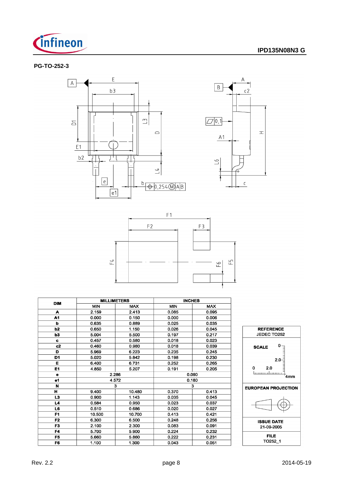

A

 $c<sub>2</sub>$ 

 $\mathsf{C}$ 

 $\equiv$ 

### **PG-TO-252-3**





| <b>DIM</b>     |            | <b>MILLIMETERS</b> | <b>INCHES</b> |            |  |
|----------------|------------|--------------------|---------------|------------|--|
|                | <b>MIN</b> | <b>MAX</b>         | <b>MIN</b>    | <b>MAX</b> |  |
| A              | 2.159      | 2.413              | 0.085         | 0.095      |  |
| A1             | 0.000      | 0.150              | 0.000         | 0.006      |  |
| b              | 0.635      | 0.889              | 0.025         | 0.035      |  |
| b2             | 0.650      | 1.150              | 0.026         | 0.045      |  |
| b3             | 5.004      | 5.500              | 0.197         | 0.217      |  |
| c.             | 0.457      | 0.580              | 0.018         | 0.023      |  |
| c2             | 0.460      | 0.980              | 0.018         | 0.039      |  |
| D              | 5.969      | 6.223              | 0.235         | 0.245      |  |
| D1             | 5.020      | 5.842              | 0.198         | 0.230      |  |
| Е              | 6.400      | 6.731              | 0.252         | 0.265      |  |
| E1             | 4.850      | 5.207              | 0.191         | 0.205      |  |
| e              |            | 2.286              | 0.090         |            |  |
| e1             |            | 4.572              |               | 0.180      |  |
| N              |            | 3                  | 3             |            |  |
| н              | 9.400      | 10.480             | 0.370         | 0.413      |  |
| L3             | 0.900      | 1.143              | 0.035         | 0.045      |  |
| L4             | 0.584      | 0.950              | 0.023         | 0.037      |  |
| L6             | 0.510      | 0.686              | 0.020         | 0.027      |  |
| F1             | 10.500     | 10.700             | 0.413         | 0.421      |  |
| F <sub>2</sub> | 6.300      | 6.500              | 0.248         | 0.256      |  |
| F3             | 2.100      | 2.300              | 0.083         | 0.091      |  |
| F4             | 5.700      | 5.900              | 0.224         | 0.232      |  |
| F5             | 5.660      | 5.860              | 0.222         | 0.231      |  |
| F6             | 1.100      | 1.300              | 0.043         | 0.051      |  |